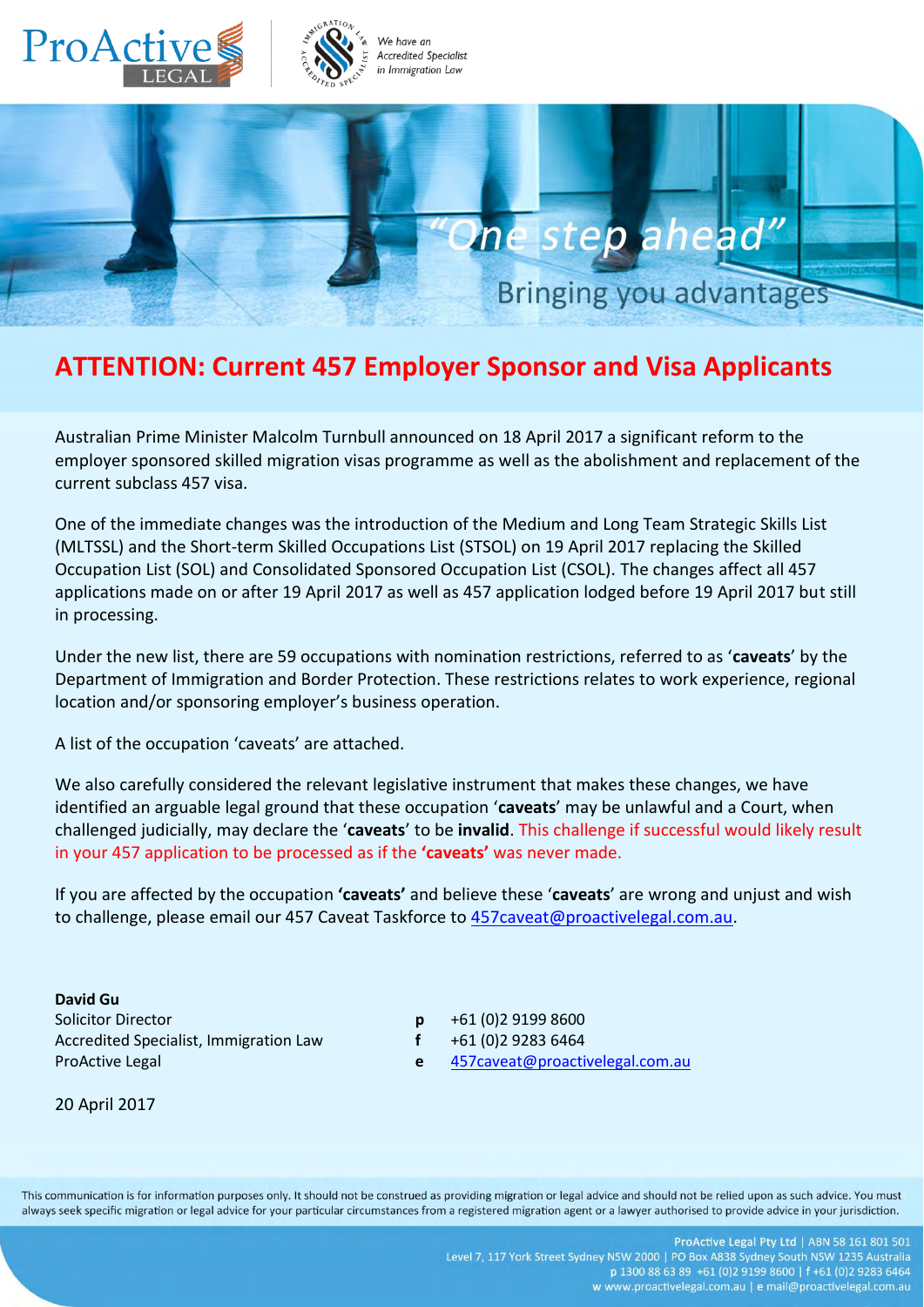

# **ATTENTION: Current 457 Employer Sponsor and Visa Applicants**

Australian Prime Minister Malcolm Turnbull announced on 18 April 2017 a significant reform to the employer sponsored skilled migration visas programme as well as the abolishment and replacement of the current subclass 457 visa.

One of the immediate changes was the introduction of the Medium and Long Team Strategic Skills List (MLTSSL) and the Short-term Skilled Occupations List (STSOL) on 19 April 2017 replacing the Skilled Occupation List (SOL) and Consolidated Sponsored Occupation List (CSOL). The changes affect all 457 applications made on or after 19 April 2017 as well as 457 application lodged before 19 April 2017 but still in processing.

Under the new list, there are 59 occupations with nomination restrictions, referred to as '**caveats**' by the Department of Immigration and Border Protection. These restrictions relates to work experience, regional location and/or sponsoring employer's business operation.

A list of the occupation 'caveats' are attached.

We also carefully considered the relevant legislative instrument that makes these changes, we have identified an arguable legal ground that these occupation '**caveats**' may be unlawful and a Court, when challenged judicially, may declare the '**caveats**' to be **invalid**. This challenge if successful would likely result in your 457 application to be processed as if the **'caveats'** was never made.

If you are affected by the occupation **'caveats'** and believe these '**caveats**' are wrong and unjust and wish to challenge, please email our 457 Caveat Taskforce to 457 caveat@proactivelegal.com.au.

**David Gu** Solicitor Director **p** +61 (0)2 9199 8600 Accredited Specialist, Immigration Law **f** +61 (0)2 9283 6464

- 
- 
- ProActive Legal **e** [457caveat@proactivelegal.com.au](mailto:457caveat@proactivelegal.com.au)

20 April 2017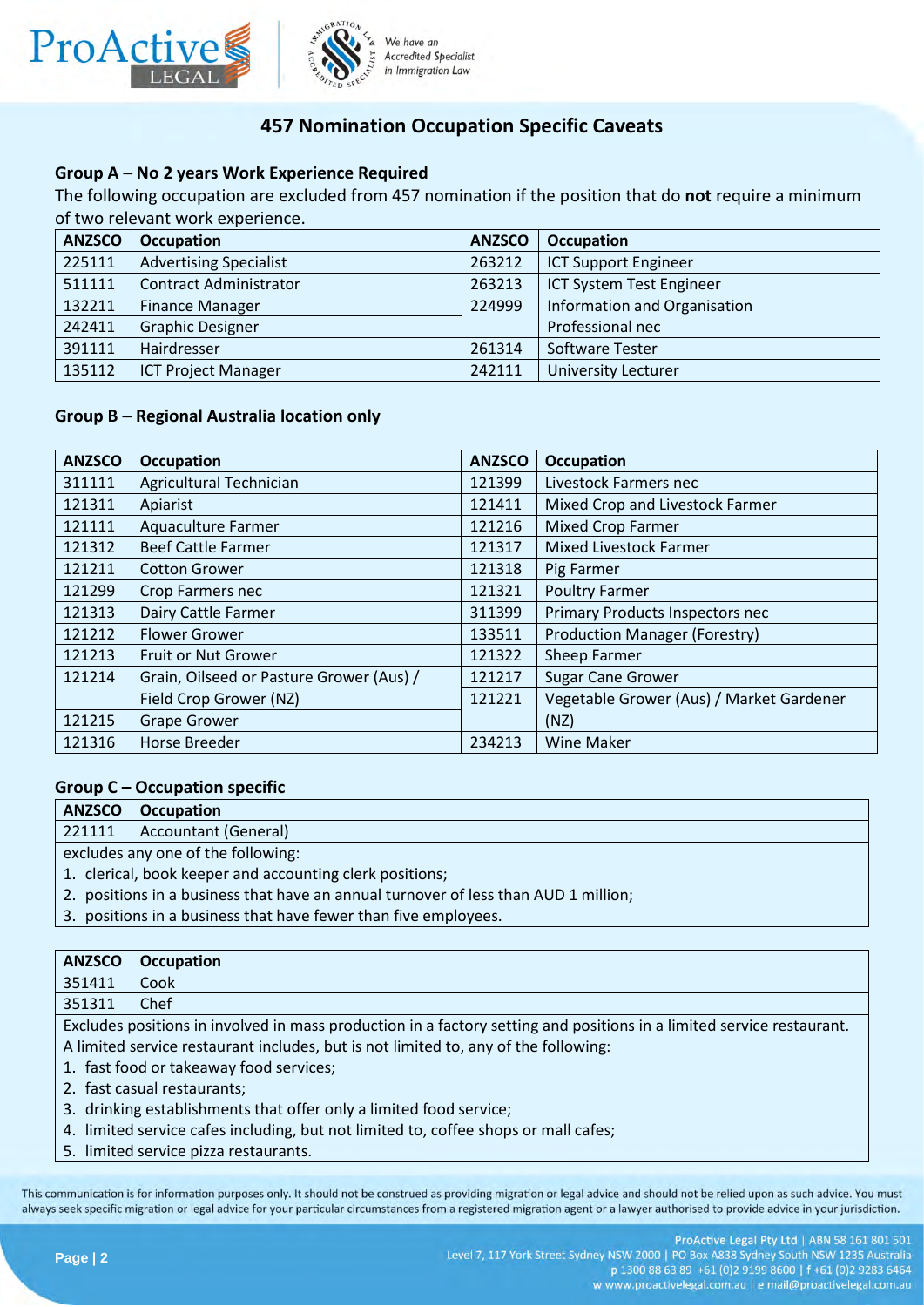

# **457 Nomination Occupation Specific Caveats**

## **Group A – No 2 years Work Experience Required**

The following occupation are excluded from 457 nomination if the position that do **not** require a minimum of two relevant work experience.

| <b>ANZSCO</b> | <b>Occupation</b>             | <b>ANZSCO</b> | Occupation                   |
|---------------|-------------------------------|---------------|------------------------------|
| 225111        | <b>Advertising Specialist</b> | 263212        | <b>ICT Support Engineer</b>  |
| 511111        | <b>Contract Administrator</b> | 263213        | ICT System Test Engineer     |
| 132211        | <b>Finance Manager</b>        | 224999        | Information and Organisation |
| 242411        | <b>Graphic Designer</b>       |               | Professional nec             |
| 391111        | Hairdresser                   | 261314        | Software Tester              |
| 135112        | <b>ICT Project Manager</b>    | 242111        | <b>University Lecturer</b>   |

### **Group B – Regional Australia location only**

| <b>ANZSCO</b> | <b>Occupation</b>                        | <b>ANZSCO</b> | <b>Occupation</b>                        |
|---------------|------------------------------------------|---------------|------------------------------------------|
| 311111        | Agricultural Technician                  | 121399        | Livestock Farmers nec                    |
| 121311        | Apiarist                                 | 121411        | Mixed Crop and Livestock Farmer          |
| 121111        | <b>Aquaculture Farmer</b>                | 121216        | <b>Mixed Crop Farmer</b>                 |
| 121312        | <b>Beef Cattle Farmer</b>                | 121317        | <b>Mixed Livestock Farmer</b>            |
| 121211        | <b>Cotton Grower</b>                     | 121318        | Pig Farmer                               |
| 121299        | <b>Crop Farmers nec</b>                  | 121321        | <b>Poultry Farmer</b>                    |
| 121313        | Dairy Cattle Farmer                      | 311399        | Primary Products Inspectors nec          |
| 121212        | <b>Flower Grower</b>                     | 133511        | <b>Production Manager (Forestry)</b>     |
| 121213        | Fruit or Nut Grower                      | 121322        | Sheep Farmer                             |
| 121214        | Grain, Oilseed or Pasture Grower (Aus) / | 121217        | <b>Sugar Cane Grower</b>                 |
|               | Field Crop Grower (NZ)                   | 121221        | Vegetable Grower (Aus) / Market Gardener |
| 121215        | <b>Grape Grower</b>                      |               | (NZ)                                     |
| 121316        | <b>Horse Breeder</b>                     | 234213        | <b>Wine Maker</b>                        |

### **Group C – Occupation specific**

| <b>ANZSCO</b>                                            | Occupation           |
|----------------------------------------------------------|----------------------|
| 221111                                                   | Accountant (General) |
| excludes any one of the following:                       |                      |
| 1. clerical, book keeper and accounting clerk positions; |                      |

- 2. positions in a business that have an annual turnover of less than AUD 1 million;
- 3. positions in a business that have fewer than five employees.

| <b>ANZSCO</b>                                                                       | <b>Occupation</b>                                                                                                     |  |
|-------------------------------------------------------------------------------------|-----------------------------------------------------------------------------------------------------------------------|--|
| 351411                                                                              | Cook                                                                                                                  |  |
| 351311                                                                              | Chef                                                                                                                  |  |
|                                                                                     | Excludes positions in involved in mass production in a factory setting and positions in a limited service restaurant. |  |
| A limited service restaurant includes, but is not limited to, any of the following: |                                                                                                                       |  |
| 1. fast food or takeaway food services;                                             |                                                                                                                       |  |
| 2. fast casual restaurants;                                                         |                                                                                                                       |  |
| 3. drinking establishments that offer only a limited food service;                  |                                                                                                                       |  |
|                                                                                     | 4. limited service cafes including, but not limited to, coffee shops or mall cafes;                                   |  |
|                                                                                     |                                                                                                                       |  |

5. limited service pizza restaurants.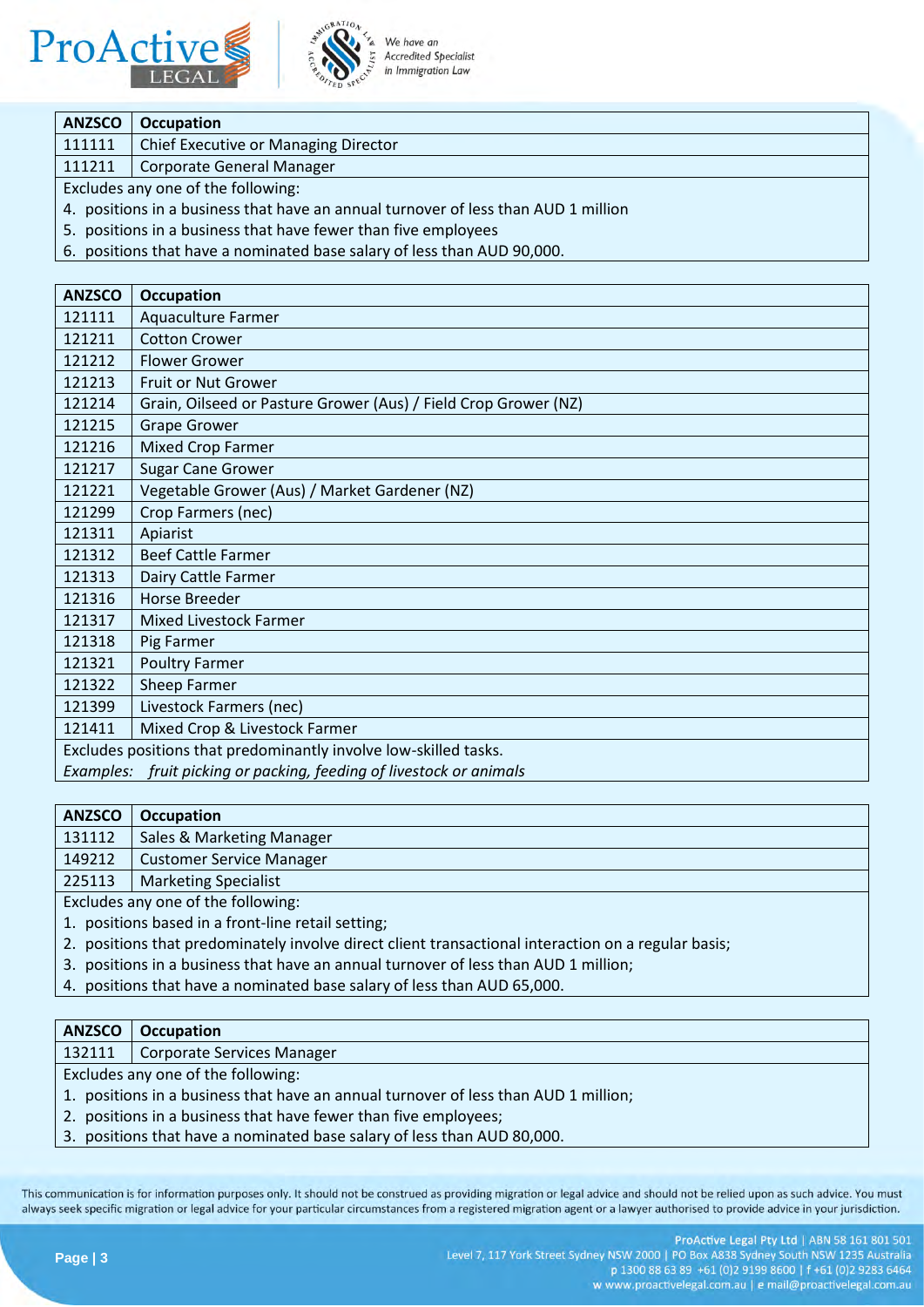



We have an **Accredited Specialist** in Immigration Law

| <b>ANZSCO</b>                                                                      | <b>Occupation</b>                    |
|------------------------------------------------------------------------------------|--------------------------------------|
| 111111                                                                             | Chief Executive or Managing Director |
| 111211                                                                             | <b>Corporate General Manager</b>     |
| Excludes any one of the following:                                                 |                                      |
| 4. positions in a business that have an annual turnover of less than AUD 1 million |                                      |
| 5. positions in a business that have fewer than five employees                     |                                      |

6. positions that have a nominated base salary of less than AUD 90,000.

| <b>ANZSCO</b>                                                    | <b>Occupation</b>                                                   |
|------------------------------------------------------------------|---------------------------------------------------------------------|
| 121111                                                           | <b>Aquaculture Farmer</b>                                           |
| 121211                                                           | <b>Cotton Crower</b>                                                |
| 121212                                                           | <b>Flower Grower</b>                                                |
| 121213                                                           | Fruit or Nut Grower                                                 |
| 121214                                                           | Grain, Oilseed or Pasture Grower (Aus) / Field Crop Grower (NZ)     |
| 121215                                                           | <b>Grape Grower</b>                                                 |
| 121216                                                           | <b>Mixed Crop Farmer</b>                                            |
| 121217                                                           | <b>Sugar Cane Grower</b>                                            |
| 121221                                                           | Vegetable Grower (Aus) / Market Gardener (NZ)                       |
| 121299                                                           | Crop Farmers (nec)                                                  |
| 121311                                                           | Apiarist                                                            |
| 121312                                                           | <b>Beef Cattle Farmer</b>                                           |
| 121313                                                           | Dairy Cattle Farmer                                                 |
| 121316                                                           | <b>Horse Breeder</b>                                                |
| 121317                                                           | <b>Mixed Livestock Farmer</b>                                       |
| 121318                                                           | Pig Farmer                                                          |
| 121321                                                           | <b>Poultry Farmer</b>                                               |
| 121322                                                           | Sheep Farmer                                                        |
| 121399                                                           | Livestock Farmers (nec)                                             |
| 121411                                                           | Mixed Crop & Livestock Farmer                                       |
| Excludes positions that predominantly involve low-skilled tasks. |                                                                     |
|                                                                  | Examples: fruit picking or packing, feeding of livestock or animals |

| <b>ANZSCO</b>                      | Occupation                      |
|------------------------------------|---------------------------------|
| 131112                             | Sales & Marketing Manager       |
| 149212                             | <b>Customer Service Manager</b> |
| 225113                             | Marketing Specialist            |
| Evaludes any ano of the following: |                                 |

Excludes any one of the following:

- 1. positions based in a front-line retail setting;
- 2. positions that predominately involve direct client transactional interaction on a regular basis;
- 3. positions in a business that have an annual turnover of less than AUD 1 million;
- 4. positions that have a nominated base salary of less than AUD 65,000.

#### **ANZSCO Occupation**

132111 | Corporate Services Manager

Excludes any one of the following:

- 1. positions in a business that have an annual turnover of less than AUD 1 million;
- 2. positions in a business that have fewer than five employees;
- 3. positions that have a nominated base salary of less than AUD 80,000.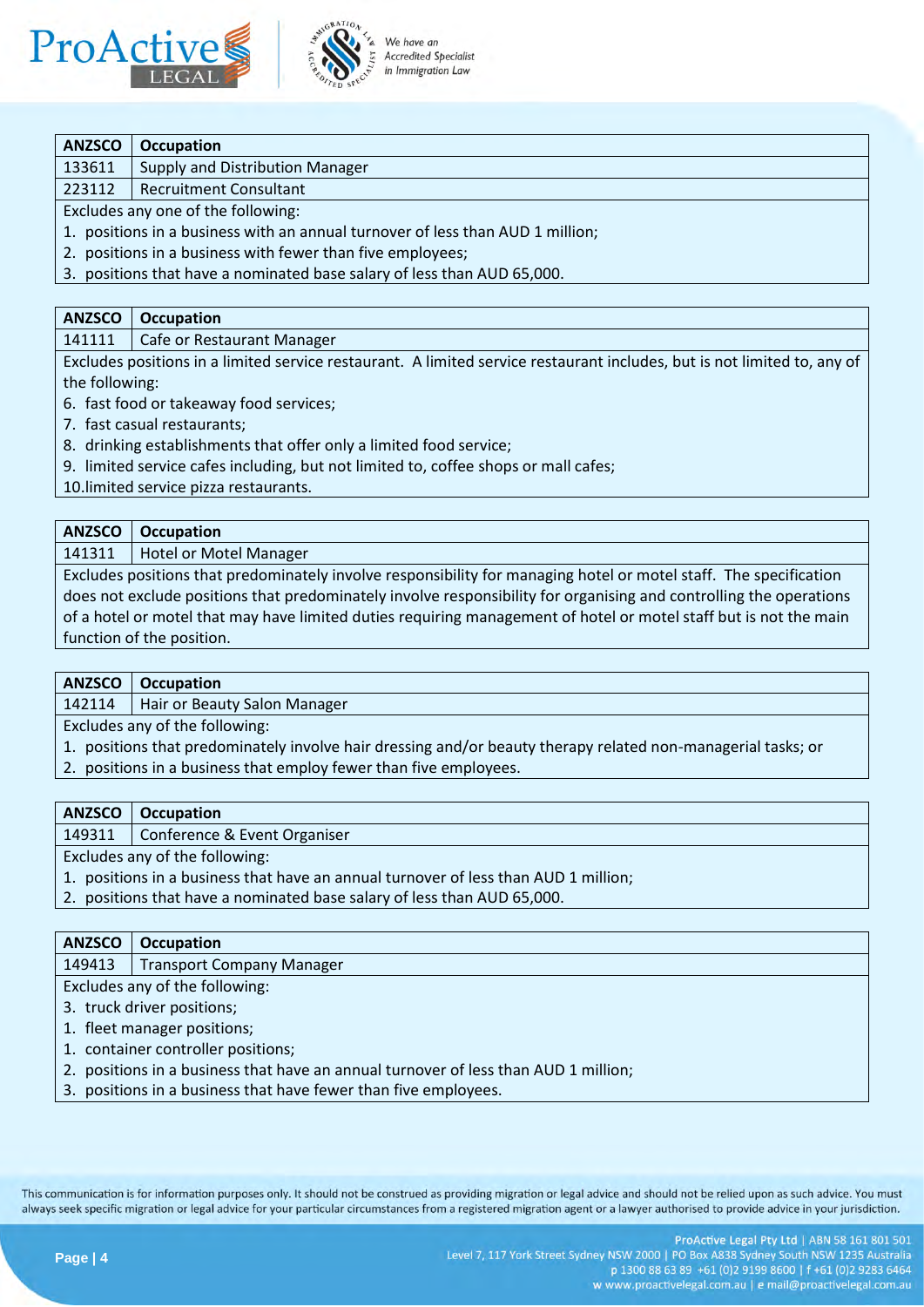



### **ANZSCO Occupation**

133611 Supply and Distribution Manager

223112 | Recruitment Consultant

Excludes any one of the following:

1. positions in a business with an annual turnover of less than AUD 1 million;

2. positions in a business with fewer than five employees;

3. positions that have a nominated base salary of less than AUD 65,000.

#### **ANZSCO Occupation**

141111 | Cafe or Restaurant Manager

Excludes positions in a limited service restaurant. A limited service restaurant includes, but is not limited to, any of the following:

6. fast food or takeaway food services;

7. fast casual restaurants;

8. drinking establishments that offer only a limited food service;

9. limited service cafes including, but not limited to, coffee shops or mall cafes;

10.limited service pizza restaurants.

| <b>ANZSCO</b>                                                                                                      | <b>Occupation</b>               |  |
|--------------------------------------------------------------------------------------------------------------------|---------------------------------|--|
|                                                                                                                    | 141311   Hotel or Motel Manager |  |
| Excludes positions that predominately involve responsibility for managing hotel or motel staff. The specification  |                                 |  |
| does not exclude positions that predominately involve responsibility for organising and controlling the operations |                                 |  |

of a hotel or motel that may have limited duties requiring management of hotel or motel staff but is not the main function of the position.

# **ANZSCO Occupation**

142114 | Hair or Beauty Salon Manager

Excludes any of the following:

- 1. positions that predominately involve hair dressing and/or beauty therapy related non-managerial tasks; or
- 2. positions in a business that employ fewer than five employees.

## **ANZSCO Occupation**

149311 | Conference & Event Organiser

Excludes any of the following:

- 1. positions in a business that have an annual turnover of less than AUD 1 million;
- 2. positions that have a nominated base salary of less than AUD 65,000.

# **ANZSCO Occupation** 149413 | Transport Company Manager Excludes any of the following:

- 3. truck driver positions;
- 1. fleet manager positions;
- 1. container controller positions;
- 2. positions in a business that have an annual turnover of less than AUD 1 million;
- 3. positions in a business that have fewer than five employees.